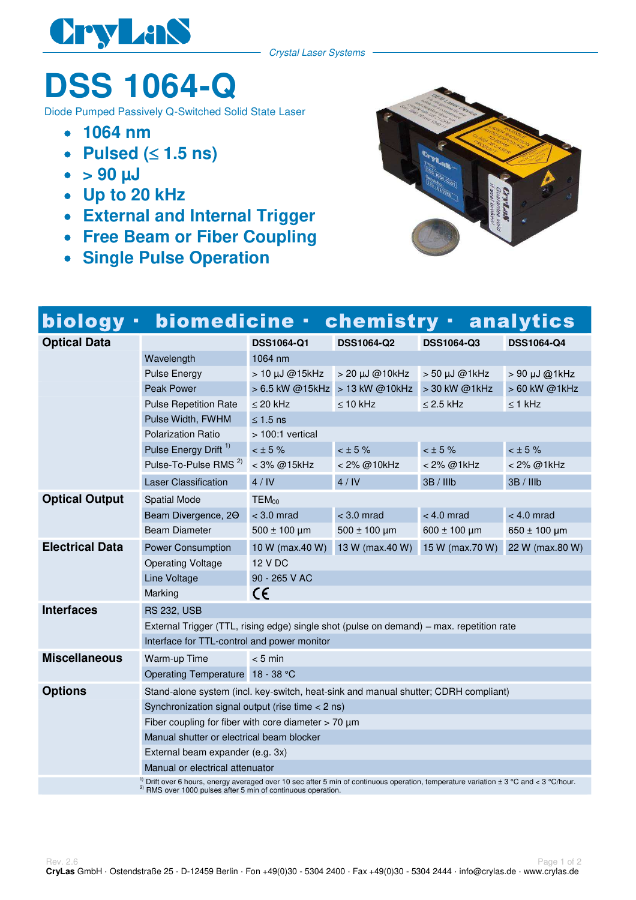

## **DSS 1064-Q**

Diode Pumped Passively Q-Switched Solid State Laser

- **1064 nm**
- Pulsed  $( \leq 1.5 \text{ ns} )$
- $\bullet$  > 90  $\mu$ J
- **Up to 20 kHz**
- **External and Internal Trigger**
- **Free Beam or Fiber Coupling**
- **Single Pulse Operation**



| biology ·                                                                                                                                                                                                     | biomedicine ·                                                                            |                        | <b>chemistry · analytics</b>   |                    |                   |
|---------------------------------------------------------------------------------------------------------------------------------------------------------------------------------------------------------------|------------------------------------------------------------------------------------------|------------------------|--------------------------------|--------------------|-------------------|
| <b>Optical Data</b>                                                                                                                                                                                           |                                                                                          | <b>DSS1064-Q1</b>      | <b>DSS1064-Q2</b>              | <b>DSS1064-Q3</b>  | <b>DSS1064-Q4</b> |
|                                                                                                                                                                                                               | Wavelength                                                                               | 1064 nm                |                                |                    |                   |
|                                                                                                                                                                                                               | <b>Pulse Energy</b>                                                                      | > 10 μJ @15kHz         | $>$ 20 $\mu$ J @10kHz          | $> 50 \mu J$ @1kHz | > 90 µJ @1kHz     |
|                                                                                                                                                                                                               | <b>Peak Power</b>                                                                        |                        | > 6.5 kW @15kHz > 13 kW @10kHz | > 30 kW @1kHz      | > 60 kW @1kHz     |
|                                                                                                                                                                                                               | <b>Pulse Repetition Rate</b>                                                             | $\leq$ 20 kHz          | $\leq 10$ kHz                  | $\leq$ 2.5 kHz     | $\leq$ 1 kHz      |
|                                                                                                                                                                                                               | Pulse Width, FWHM                                                                        | $\leq 1.5$ ns          |                                |                    |                   |
|                                                                                                                                                                                                               | <b>Polarization Ratio</b>                                                                | > 100:1 vertical       |                                |                    |                   |
|                                                                                                                                                                                                               | Pulse Energy Drift <sup>1)</sup>                                                         | $< \pm 5 \%$           | $<$ $\pm$ 5%                   | $< \pm 5 \%$       | < 15%             |
|                                                                                                                                                                                                               | Pulse-To-Pulse RMS <sup>2)</sup>                                                         | < 3% @15kHz            | < 2% @10kHz                    | < 2% @1kHz         | < 2% @1kHz        |
|                                                                                                                                                                                                               | <b>Laser Classification</b>                                                              | 4/IV                   | 4/IV                           | 3B / IIIb          | 3B / IIIb         |
| <b>Optical Output</b>                                                                                                                                                                                         | <b>Spatial Mode</b>                                                                      | TEM <sub>00</sub>      |                                |                    |                   |
|                                                                                                                                                                                                               | Beam Divergence, 20                                                                      | $<$ 3.0 mrad           | $<$ 3.0 mrad                   | $< 4.0$ mrad       | $< 4.0$ mrad      |
|                                                                                                                                                                                                               | <b>Beam Diameter</b>                                                                     | $500 \pm 100$ µm       | $500 \pm 100$ µm               | $600 \pm 100$ µm   | $650 \pm 100$ µm  |
| <b>Electrical Data</b>                                                                                                                                                                                        | <b>Power Consumption</b>                                                                 | 10 W (max.40 W)        | 13 W (max.40 W)                | 15 W (max.70 W)    | 22 W (max.80 W)   |
|                                                                                                                                                                                                               | <b>Operating Voltage</b>                                                                 | <b>12 V DC</b>         |                                |                    |                   |
|                                                                                                                                                                                                               | Line Voltage                                                                             | 90 - 265 V AC          |                                |                    |                   |
|                                                                                                                                                                                                               | Marking                                                                                  | $\mathsf{C}\mathsf{C}$ |                                |                    |                   |
| <b>Interfaces</b>                                                                                                                                                                                             | <b>RS 232, USB</b>                                                                       |                        |                                |                    |                   |
|                                                                                                                                                                                                               | External Trigger (TTL, rising edge) single shot (pulse on demand) - max. repetition rate |                        |                                |                    |                   |
|                                                                                                                                                                                                               | Interface for TTL-control and power monitor                                              |                        |                                |                    |                   |
| <b>Miscellaneous</b>                                                                                                                                                                                          | Warm-up Time                                                                             | $< 5$ min              |                                |                    |                   |
|                                                                                                                                                                                                               | Operating Temperature 18 - 38 °C                                                         |                        |                                |                    |                   |
| <b>Options</b>                                                                                                                                                                                                | Stand-alone system (incl. key-switch, heat-sink and manual shutter; CDRH compliant)      |                        |                                |                    |                   |
|                                                                                                                                                                                                               | Synchronization signal output (rise time < 2 ns)                                         |                        |                                |                    |                   |
|                                                                                                                                                                                                               | Fiber coupling for fiber with core diameter $> 70 \mu m$                                 |                        |                                |                    |                   |
|                                                                                                                                                                                                               | Manual shutter or electrical beam blocker                                                |                        |                                |                    |                   |
|                                                                                                                                                                                                               | External beam expander (e.g. 3x)                                                         |                        |                                |                    |                   |
|                                                                                                                                                                                                               | Manual or electrical attenuator                                                          |                        |                                |                    |                   |
| Drift over 6 hours, energy averaged over 10 sec after 5 min of continuous operation, temperature variation ± 3 °C and < 3 °C/hour.<br><sup>2)</sup> RMS over 1000 pulses after 5 min of continuous operation. |                                                                                          |                        |                                |                    |                   |